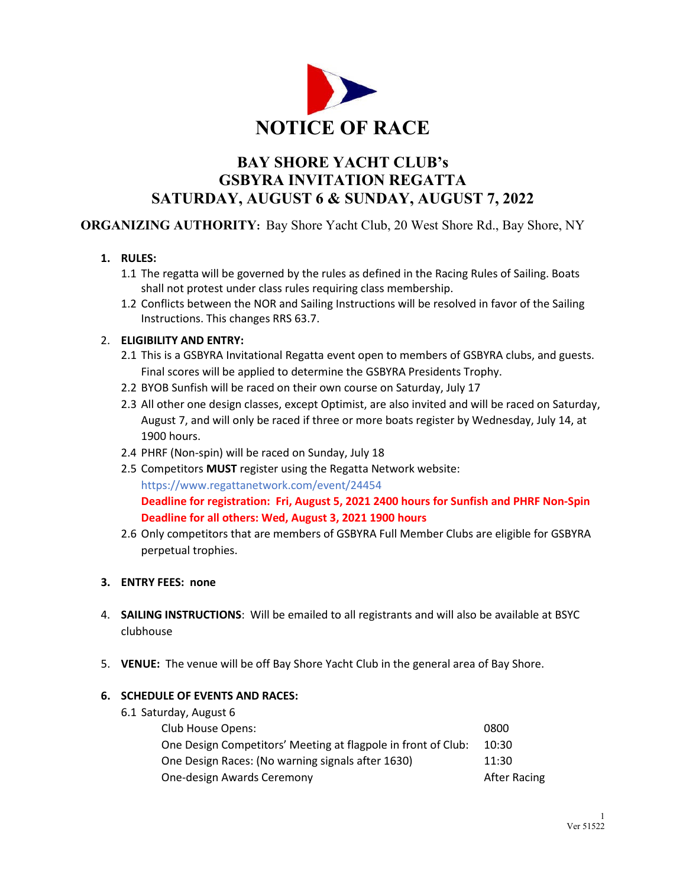

# **BAY SHORE YACHT CLUB's GSBYRA INVITATION REGATTA SATURDAY, AUGUST 6 & SUNDAY, AUGUST 7, 2022**

**ORGANIZING AUTHORITY:** Bay Shore Yacht Club, 20 West Shore Rd., Bay Shore, NY

- **1. RULES:**
	- 1.1 The regatta will be governed by the rules as defined in the Racing Rules of Sailing. Boats shall not protest under class rules requiring class membership.
	- 1.2 Conflicts between the NOR and Sailing Instructions will be resolved in favor of the Sailing Instructions. This changes RRS 63.7.

## 2. **ELIGIBILITY AND ENTRY:**

- 2.1 This is a GSBYRA Invitational Regatta event open to members of GSBYRA clubs, and guests. Final scores will be applied to determine the GSBYRA Presidents Trophy.
- 2.2 BYOB Sunfish will be raced on their own course on Saturday, July 17
- 2.3 All other one design classes, except Optimist, are also invited and will be raced on Saturday, August 7, and will only be raced if three or more boats register by Wednesday, July 14, at 1900 hours.
- 2.4 PHRF (Non-spin) will be raced on Sunday, July 18
- 2.5 Competitors **MUST** register using the Regatta Network website: https://www.regattanetwork.com/event/24454 **Deadline for registration: Fri, August 5, 2021 2400 hours for Sunfish and PHRF Non-Spin Deadline for all others: Wed, August 3, 2021 1900 hours**
- 2.6 Only competitors that are members of GSBYRA Full Member Clubs are eligible for GSBYRA perpetual trophies.

## **3. ENTRY FEES: none**

- 4. **SAILING INSTRUCTIONS**: Will be emailed to all registrants and will also be available at BSYC clubhouse
- 5. **VENUE:** The venue will be off Bay Shore Yacht Club in the general area of Bay Shore.

## **6. SCHEDULE OF EVENTS AND RACES:**

6.1 Saturday, August 6

| Club House Opens:                                             | 0800                |
|---------------------------------------------------------------|---------------------|
| One Design Competitors' Meeting at flagpole in front of Club: | 10:30               |
| One Design Races: (No warning signals after 1630)             | 11:30               |
| One-design Awards Ceremony                                    | <b>After Racing</b> |
|                                                               |                     |